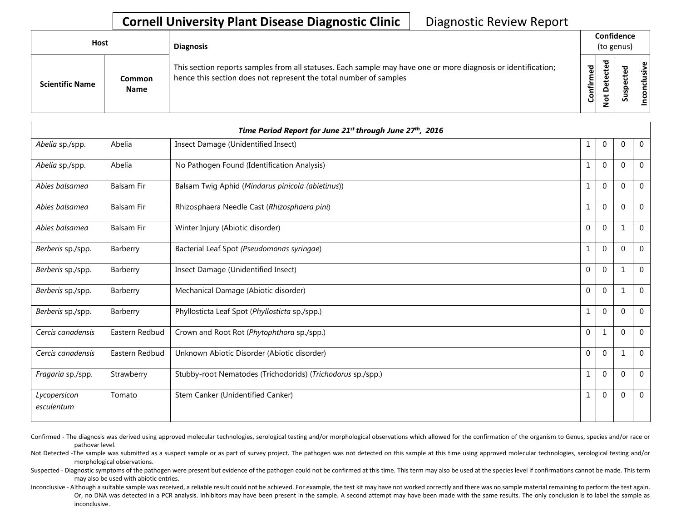| <b>Host</b>            |                       | <b>Diagnosis</b>                                                                                                                                                                   |           | Confidence<br>(to genus) |        |                      |  |  |
|------------------------|-----------------------|------------------------------------------------------------------------------------------------------------------------------------------------------------------------------------|-----------|--------------------------|--------|----------------------|--|--|
| <b>Scientific Name</b> | Common<br><b>Name</b> | This section reports samples from all statuses. Each sample may have one or more diagnosis or identification;<br>hence this section does not represent the total number of samples | Confirmed | ᇃ<br>≏<br>سە             | š<br>n | usive<br>ಕ<br>⊂<br>g |  |  |

|                            |                   | Time Period Report for June 21st through June 27th, 2016    |              |                |              |                |
|----------------------------|-------------------|-------------------------------------------------------------|--------------|----------------|--------------|----------------|
| Abelia sp./spp.            | Abelia            | Insect Damage (Unidentified Insect)                         | 1            | $\mathbf 0$    | $\mathbf{0}$ | $\mathbf 0$    |
| Abelia sp./spp.            | Abelia            | No Pathogen Found (Identification Analysis)                 | 1            | $\mathbf{0}$   | $\Omega$     | $\overline{0}$ |
| Abies balsamea             | <b>Balsam Fir</b> | Balsam Twig Aphid (Mindarus pinicola (abietinus))           | $\mathbf{1}$ | $\overline{0}$ | $\mathbf{0}$ | $\overline{0}$ |
| Abies balsamea             | <b>Balsam Fir</b> | Rhizosphaera Needle Cast (Rhizosphaera pini)                | 1            | $\overline{0}$ | $\Omega$     | $\Omega$       |
| Abies balsamea             | <b>Balsam Fir</b> | Winter Injury (Abiotic disorder)                            | 0            | $\mathbf 0$    | $\mathbf{1}$ | $\mathbf 0$    |
| Berberis sp./spp.          | Barberry          | Bacterial Leaf Spot (Pseudomonas syringae)                  | $\mathbf 1$  | $\overline{0}$ | $\mathbf{0}$ | $\mathbf 0$    |
| Berberis sp./spp.          | Barberry          | Insect Damage (Unidentified Insect)                         | 0            | $\mathbf{0}$   | $\mathbf{1}$ | $\Omega$       |
| Berberis sp./spp.          | Barberry          | Mechanical Damage (Abiotic disorder)                        | $\mathbf{0}$ | $\mathbf{0}$   | $\mathbf{1}$ | $\mathbf 0$    |
| Berberis sp./spp.          | Barberry          | Phyllosticta Leaf Spot (Phyllosticta sp./spp.)              | 1            | $\mathbf 0$    | $\mathbf{0}$ | $\Omega$       |
| Cercis canadensis          | Eastern Redbud    | Crown and Root Rot (Phytophthora sp./spp.)                  | 0            | 1              | $\Omega$     | $\Omega$       |
| Cercis canadensis          | Eastern Redbud    | Unknown Abiotic Disorder (Abiotic disorder)                 | 0            | $\overline{0}$ | $\mathbf{1}$ | $\mathbf 0$    |
| Fragaria sp./spp.          | Strawberry        | Stubby-root Nematodes (Trichodorids) (Trichodorus sp./spp.) | $\mathbf 1$  | 0              | $\mathbf 0$  | $\Omega$       |
| Lycopersicon<br>esculentum | Tomato            | Stem Canker (Unidentified Canker)                           | $\mathbf 1$  | $\overline{0}$ | $\mathbf{0}$ | $\Omega$       |

Confirmed - The diagnosis was derived using approved molecular technologies, serological testing and/or morphological observations which allowed for the confirmation of the organism to Genus, species and/or race or pathovar level.

Not Detected -The sample was submitted as a suspect sample or as part of survey project. The pathogen was not detected on this sample at this time using approved molecular technologies, serological testing and/or morphological observations.

Suspected - Diagnostic symptoms of the pathogen were present but evidence of the pathogen could not be confirmed at this time. This term may also be used at the species level if confirmations cannot be made. This term may also be used with abiotic entries.

Inconclusive - Although a suitable sample was received, a reliable result could not be achieved. For example, the test kit may have not worked correctly and there was no sample material remaining to perform the test again. Or, no DNA was detected in a PCR analysis. Inhibitors may have been present in the sample. A second attempt may have been made with the same results. The only conclusion is to label the sample as inconclusive.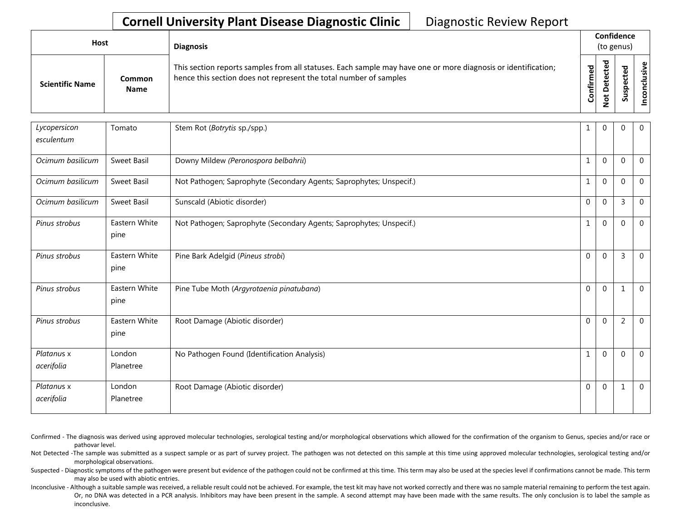| Host                   |                       | <b>Diagnosis</b>                                                                                                                                                                   |           | Confidence<br>(to genus) |  |                 |
|------------------------|-----------------------|------------------------------------------------------------------------------------------------------------------------------------------------------------------------------------|-----------|--------------------------|--|-----------------|
| <b>Scientific Name</b> | Common<br><b>Name</b> | This section reports samples from all statuses. Each sample may have one or more diagnosis or identification;<br>hence this section does not represent the total number of samples | Confirmed | ᇃ<br>o<br>سد<br>–<br>-   |  | ω<br>usiv<br>᠊ᠣ |

| Lycopersicon             | Tomato                | Stem Rot (Botrytis sp./spp.)                                        |              | $\mathbf 0$  | 0              | $\overline{0}$ |
|--------------------------|-----------------------|---------------------------------------------------------------------|--------------|--------------|----------------|----------------|
| esculentum               |                       |                                                                     |              |              |                |                |
| Ocimum basilicum         | Sweet Basil           | Downy Mildew (Peronospora belbahrii)                                | 1            | $\mathbf 0$  | $\Omega$       | $\overline{0}$ |
| Ocimum basilicum         | <b>Sweet Basil</b>    | Not Pathogen; Saprophyte (Secondary Agents; Saprophytes; Unspecif.) |              | $\mathbf{0}$ | $\Omega$       | $\overline{0}$ |
| Ocimum basilicum         | Sweet Basil           | Sunscald (Abiotic disorder)                                         | $\mathbf{0}$ | $\mathbf{0}$ | $\overline{3}$ | $\mathbf{0}$   |
| Pinus strobus            | Eastern White<br>pine | Not Pathogen; Saprophyte (Secondary Agents; Saprophytes; Unspecif.) |              | $\mathbf{0}$ | $\Omega$       | $\overline{0}$ |
| Pinus strobus            | Eastern White<br>pine | Pine Bark Adelgid (Pineus strobi)                                   | $\mathbf{0}$ | $\mathbf 0$  | $\overline{3}$ | $\overline{0}$ |
| Pinus strobus            | Eastern White<br>pine | Pine Tube Moth (Argyrotaenia pinatubana)                            | $\mathbf{0}$ | $\mathbf{0}$ | $\mathbf{1}$   | $\overline{0}$ |
| Pinus strobus            | Eastern White<br>pine | Root Damage (Abiotic disorder)                                      | $\Omega$     | $\mathbf{0}$ | 2              | $\overline{0}$ |
| Platanus x<br>acerifolia | London<br>Planetree   | No Pathogen Found (Identification Analysis)                         |              | $\mathbf{0}$ | $\mathbf 0$    | $\overline{0}$ |
| Platanus x<br>acerifolia | London<br>Planetree   | Root Damage (Abiotic disorder)                                      | $\mathbf{0}$ | $\mathbf{0}$ | 1              | $\overline{0}$ |

- Confirmed The diagnosis was derived using approved molecular technologies, serological testing and/or morphological observations which allowed for the confirmation of the organism to Genus, species and/or race or pathovar level.
- Not Detected -The sample was submitted as a suspect sample or as part of survey project. The pathogen was not detected on this sample at this time using approved molecular technologies, serological testing and/or morphological observations.
- Suspected Diagnostic symptoms of the pathogen were present but evidence of the pathogen could not be confirmed at this time. This term may also be used at the species level if confirmations cannot be made. This term may also be used with abiotic entries.
- Inconclusive Although a suitable sample was received, a reliable result could not be achieved. For example, the test kit may have not worked correctly and there was no sample material remaining to perform the test again. Or, no DNA was detected in a PCR analysis. Inhibitors may have been present in the sample. A second attempt may have been made with the same results. The only conclusion is to label the sample as inconclusive.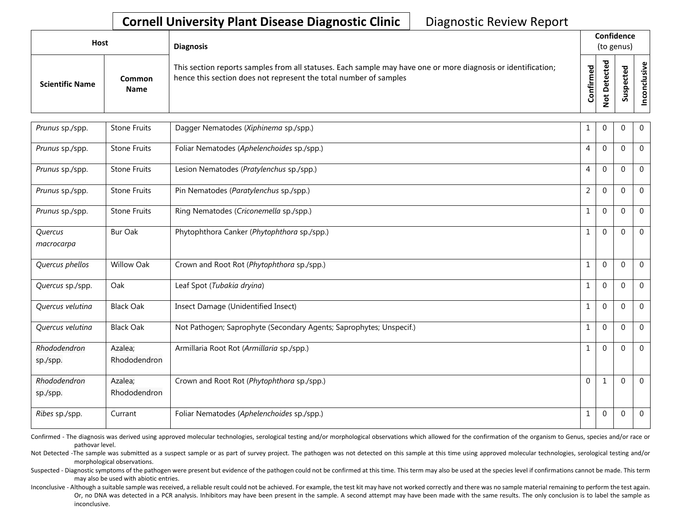| Host                   |                       | <b>Diagnosis</b>                                                                                                                                                                   | Confidence<br>(to genus) |   |        |  |
|------------------------|-----------------------|------------------------------------------------------------------------------------------------------------------------------------------------------------------------------------|--------------------------|---|--------|--|
| <b>Scientific Name</b> | Common<br><b>Name</b> | This section reports samples from all statuses. Each sample may have one or more diagnosis or identification;<br>hence this section does not represent the total number of samples | ъ<br>≔<br>ں              | ъ | s<br>Ō |  |

| Prunus sp./spp.          | <b>Stone Fruits</b>     | Dagger Nematodes (Xiphinema sp./spp.)                               | 1              | 0            | 0            | $\overline{0}$ |
|--------------------------|-------------------------|---------------------------------------------------------------------|----------------|--------------|--------------|----------------|
| Prunus sp./spp.          | <b>Stone Fruits</b>     | Foliar Nematodes (Aphelenchoides sp./spp.)                          | $\overline{4}$ | $\mathbf 0$  | $\Omega$     | $\mathbf 0$    |
| Prunus sp./spp.          | <b>Stone Fruits</b>     | Lesion Nematodes (Pratylenchus sp./spp.)                            | $\overline{4}$ | $\mathbf 0$  | $\Omega$     | $\mathbf 0$    |
| Prunus sp./spp.          | <b>Stone Fruits</b>     | Pin Nematodes (Paratylenchus sp./spp.)                              | $\overline{2}$ | $\mathbf 0$  | $\Omega$     | $\mathbf 0$    |
| Prunus sp./spp.          | <b>Stone Fruits</b>     | Ring Nematodes (Criconemella sp./spp.)                              | $\mathbf{1}$   | $\mathbf{0}$ | $\Omega$     | $\mathbf 0$    |
| Quercus<br>macrocarpa    | <b>Bur Oak</b>          | Phytophthora Canker (Phytophthora sp./spp.)                         | $\mathbf{1}$   | $\mathbf{0}$ | $\Omega$     | $\mathbf 0$    |
| Quercus phellos          | <b>Willow Oak</b>       | Crown and Root Rot (Phytophthora sp./spp.)                          | $\mathbf 1$    | $\mathbf 0$  | $\Omega$     | $\mathbf 0$    |
| Quercus sp./spp.         | Oak                     | Leaf Spot (Tubakia dryina)                                          | $\mathbf 1$    | $\mathbf 0$  | $\Omega$     | $\mathbf 0$    |
| Quercus velutina         | <b>Black Oak</b>        | Insect Damage (Unidentified Insect)                                 | $\mathbf{1}$   | $\mathbf 0$  | $\mathbf{0}$ | $\mathbf{0}$   |
| Quercus velutina         | <b>Black Oak</b>        | Not Pathogen; Saprophyte (Secondary Agents; Saprophytes; Unspecif.) | $\mathbf{1}$   | $\mathbf 0$  | $\Omega$     | $\mathbf 0$    |
| Rhododendron<br>sp./spp. | Azalea;<br>Rhododendron | Armillaria Root Rot (Armillaria sp./spp.)                           | $\mathbf{1}$   | $\mathbf 0$  | $\Omega$     | $\mathbf 0$    |
| Rhododendron<br>sp./spp. | Azalea;<br>Rhododendron | Crown and Root Rot (Phytophthora sp./spp.)                          | $\mathbf 0$    | $\mathbf{1}$ | $\Omega$     | $\mathbf 0$    |
| Ribes sp./spp.           | Currant                 | Foliar Nematodes (Aphelenchoides sp./spp.)                          | $\mathbf{1}$   | $\mathbf 0$  | 0            | $\overline{0}$ |

Confirmed - The diagnosis was derived using approved molecular technologies, serological testing and/or morphological observations which allowed for the confirmation of the organism to Genus, species and/or race or pathovar level.

Not Detected -The sample was submitted as a suspect sample or as part of survey project. The pathogen was not detected on this sample at this time using approved molecular technologies, serological testing and/or morphological observations.

Suspected - Diagnostic symptoms of the pathogen were present but evidence of the pathogen could not be confirmed at this time. This term may also be used at the species level if confirmations cannot be made. This term may also be used with abiotic entries.

Inconclusive - Although a suitable sample was received, a reliable result could not be achieved. For example, the test kit may have not worked correctly and there was no sample material remaining to perform the test again. Or, no DNA was detected in a PCR analysis. Inhibitors may have been present in the sample. A second attempt may have been made with the same results. The only conclusion is to label the sample as inconclusive.